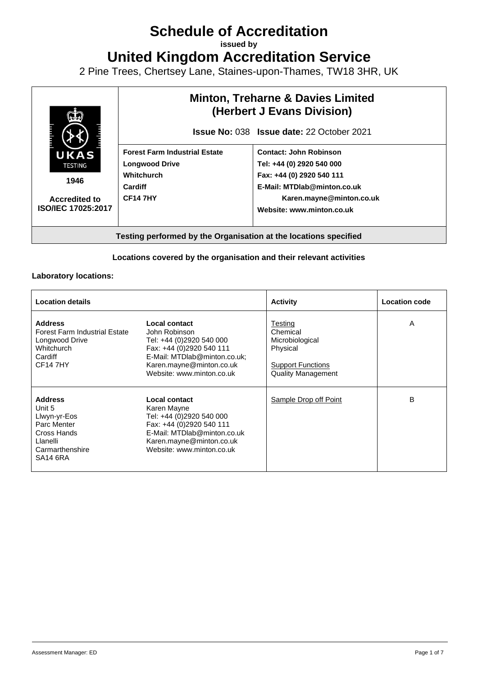# **Schedule of Accreditation**

**issued by**

**United Kingdom Accreditation Service**

2 Pine Trees, Chertsey Lane, Staines-upon-Thames, TW18 3HR, UK



#### **Locations covered by the organisation and their relevant activities**

#### **Laboratory locations:**

| <b>Location details</b>                                                                                                       |                                                                                                                                                                                 | <b>Activity</b>                                                                                             | <b>Location code</b> |
|-------------------------------------------------------------------------------------------------------------------------------|---------------------------------------------------------------------------------------------------------------------------------------------------------------------------------|-------------------------------------------------------------------------------------------------------------|----------------------|
| <b>Address</b><br><b>Forest Farm Industrial Estate</b><br>Longwood Drive<br>Whitchurch<br>Cardiff<br><b>CF147HY</b>           | Local contact<br>John Robinson<br>Tel: +44 (0)2920 540 000<br>Fax: +44 (0)2920 540 111<br>E-Mail: MTDlab@minton.co.uk;<br>Karen.mayne@minton.co.uk<br>Website: www.minton.co.uk | Testing<br>Chemical<br>Microbiological<br>Physical<br><b>Support Functions</b><br><b>Quality Management</b> | A                    |
| <b>Address</b><br>Unit 5<br>Llwyn-yr-Eos<br>Parc Menter<br>Cross Hands<br>Llanelli<br>Carmarthenshire<br>SA <sub>14</sub> 6RA | Local contact<br>Karen Mayne<br>Tel: +44 (0)2920 540 000<br>Fax: +44 (0)2920 540 111<br>E-Mail: MTDlab@minton.co.uk<br>Karen.mayne@minton.co.uk<br>Website: www.minton.co.uk    | Sample Drop off Point                                                                                       | B                    |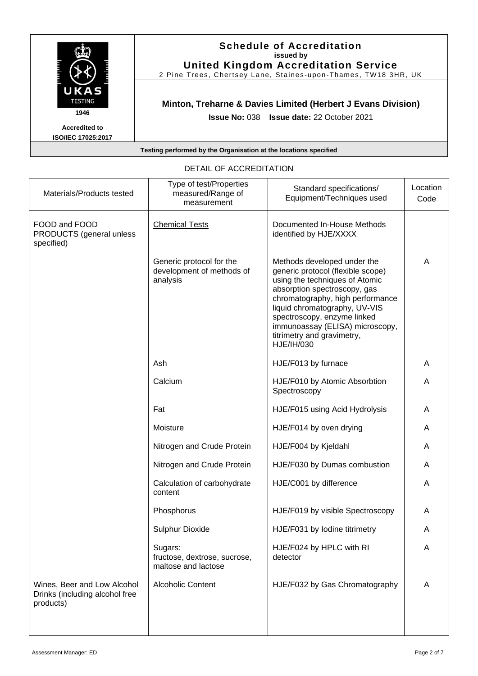|                                                   | <b>Schedule of Accreditation</b><br>issued by<br><b>United Kingdom Accreditation Service</b><br>2 Pine Trees, Chertsey Lane, Staines-upon-Thames, TW18 3HR, UK |
|---------------------------------------------------|----------------------------------------------------------------------------------------------------------------------------------------------------------------|
| UKAS<br><b>TESTING</b><br>1946                    | Minton, Treharne & Davies Limited (Herbert J Evans Division)<br><b>Issue No: 038 Issue date: 22 October 2021</b>                                               |
| <b>Accredited to</b><br><b>ISO/IEC 17025:2017</b> |                                                                                                                                                                |
|                                                   | Testing performed by the Organisation at the locations specified                                                                                               |

| Materials/Products tested                                                  | Type of test/Properties<br>measured/Range of<br>measurement       | Standard specifications/<br>Equipment/Techniques used                                                                                                                                                                                                                                                                 | Location<br>Code |
|----------------------------------------------------------------------------|-------------------------------------------------------------------|-----------------------------------------------------------------------------------------------------------------------------------------------------------------------------------------------------------------------------------------------------------------------------------------------------------------------|------------------|
| FOOD and FOOD<br>PRODUCTS (general unless<br>specified)                    | <b>Chemical Tests</b>                                             | Documented In-House Methods<br>identified by HJE/XXXX                                                                                                                                                                                                                                                                 |                  |
|                                                                            | Generic protocol for the<br>development of methods of<br>analysis | Methods developed under the<br>generic protocol (flexible scope)<br>using the techniques of Atomic<br>absorption spectroscopy, gas<br>chromatography, high performance<br>liquid chromatography, UV-VIS<br>spectroscopy, enzyme linked<br>immunoassay (ELISA) microscopy,<br>titrimetry and gravimetry,<br>HJE/IH/030 | A                |
|                                                                            | Ash                                                               | HJE/F013 by furnace                                                                                                                                                                                                                                                                                                   | A                |
|                                                                            | Calcium                                                           | HJE/F010 by Atomic Absorbtion<br>Spectroscopy                                                                                                                                                                                                                                                                         | A                |
|                                                                            | Fat                                                               | HJE/F015 using Acid Hydrolysis                                                                                                                                                                                                                                                                                        | A                |
|                                                                            | Moisture                                                          | HJE/F014 by oven drying                                                                                                                                                                                                                                                                                               | A                |
|                                                                            | Nitrogen and Crude Protein                                        | HJE/F004 by Kjeldahl                                                                                                                                                                                                                                                                                                  | A                |
|                                                                            | Nitrogen and Crude Protein                                        | HJE/F030 by Dumas combustion                                                                                                                                                                                                                                                                                          | A                |
|                                                                            | Calculation of carbohydrate<br>content                            | HJE/C001 by difference                                                                                                                                                                                                                                                                                                | A                |
|                                                                            | Phosphorus                                                        | HJE/F019 by visible Spectroscopy                                                                                                                                                                                                                                                                                      | A                |
|                                                                            | <b>Sulphur Dioxide</b>                                            | HJE/F031 by lodine titrimetry                                                                                                                                                                                                                                                                                         | A                |
|                                                                            | Sugars:<br>fructose, dextrose, sucrose,<br>maltose and lactose    | HJE/F024 by HPLC with RI<br>detector                                                                                                                                                                                                                                                                                  | A                |
| Wines, Beer and Low Alcohol<br>Drinks (including alcohol free<br>products) | <b>Alcoholic Content</b>                                          | HJE/F032 by Gas Chromatography                                                                                                                                                                                                                                                                                        | A                |

## DETAIL OF ACCREDITATION

 $\blacksquare$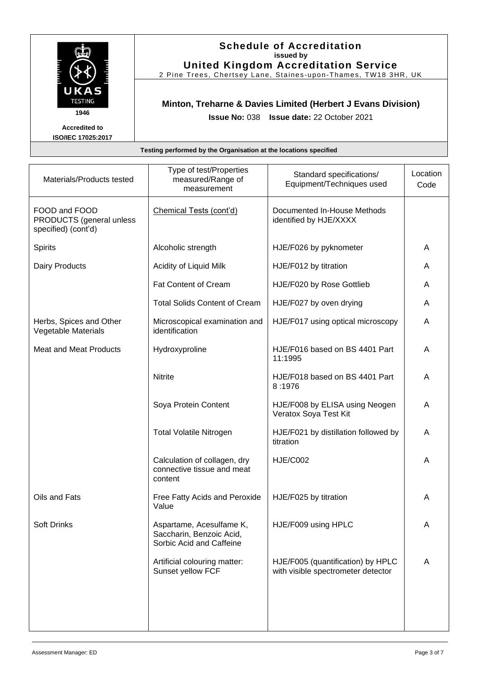

#### **Schedule of Accreditation issued by United Kingdom Accreditation Service**

2 Pine Trees, Chertsey Lane, Staines -upon -Thames, TW18 3HR, UK

## **Minton, Treharne & Davies Limited (Herbert J Evans Division)**

**Issue No:** 038 **Issue date:** 22 October 2021

| Materials/Products tested                                        | Type of test/Properties<br>measured/Range of<br>measurement                      | Standard specifications/<br>Equipment/Techniques used                   | Location<br>Code |
|------------------------------------------------------------------|----------------------------------------------------------------------------------|-------------------------------------------------------------------------|------------------|
| FOOD and FOOD<br>PRODUCTS (general unless<br>specified) (cont'd) | Chemical Tests (cont'd)                                                          | Documented In-House Methods<br>identified by HJE/XXXX                   |                  |
| Spirits                                                          | Alcoholic strength                                                               | HJE/F026 by pyknometer                                                  | A                |
| Dairy Products                                                   | Acidity of Liquid Milk                                                           | HJE/F012 by titration                                                   | A                |
|                                                                  | <b>Fat Content of Cream</b>                                                      | HJE/F020 by Rose Gottlieb                                               | A                |
|                                                                  | <b>Total Solids Content of Cream</b>                                             | HJE/F027 by oven drying                                                 | A                |
| Herbs, Spices and Other<br>Vegetable Materials                   | Microscopical examination and<br>identification                                  | HJE/F017 using optical microscopy                                       | A                |
| <b>Meat and Meat Products</b>                                    | Hydroxyproline                                                                   | HJE/F016 based on BS 4401 Part<br>11:1995                               | A                |
|                                                                  | <b>Nitrite</b>                                                                   | HJE/F018 based on BS 4401 Part<br>8:1976                                | A                |
|                                                                  | Soya Protein Content                                                             | HJE/F008 by ELISA using Neogen<br>Veratox Soya Test Kit                 | A                |
|                                                                  | <b>Total Volatile Nitrogen</b>                                                   | HJE/F021 by distillation followed by<br>titration                       | A                |
|                                                                  | Calculation of collagen, dry<br>connective tissue and meat<br>content            | <b>HJE/C002</b>                                                         | A                |
| Oils and Fats                                                    | Free Fatty Acids and Peroxide<br>Value                                           | HJE/F025 by titration                                                   | A                |
| <b>Soft Drinks</b>                                               | Aspartame, Acesulfame K,<br>Saccharin, Benzoic Acid,<br>Sorbic Acid and Caffeine | HJE/F009 using HPLC                                                     | A                |
|                                                                  | Artificial colouring matter:<br>Sunset yellow FCF                                | HJE/F005 (quantification) by HPLC<br>with visible spectrometer detector | A                |
|                                                                  |                                                                                  |                                                                         |                  |
|                                                                  |                                                                                  |                                                                         |                  |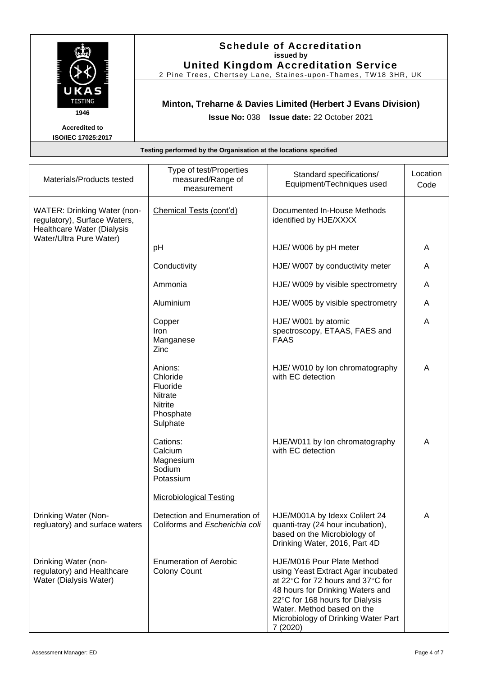| <u>man and a</u><br>i<br>E<br>KOA<br><b>TESTING</b> |
|-----------------------------------------------------|
| 1946                                                |

## **Schedule of Accreditation issued by United Kingdom Accreditation Service**

2 Pine Trees, Chertsey Lane, Staines -upon -Thames, TW18 3HR, UK

## **Minton, Treharne & Davies Limited (Herbert J Evans Division)**

**Issue No:** 038 **Issue date:** 22 October 2021

| Materials/Products tested                                                                                                   | Type of test/Properties<br>measured/Range of<br>measurement                                      | Standard specifications/<br>Equipment/Techniques used                                                                                                                                                                                                         | Location<br>Code |
|-----------------------------------------------------------------------------------------------------------------------------|--------------------------------------------------------------------------------------------------|---------------------------------------------------------------------------------------------------------------------------------------------------------------------------------------------------------------------------------------------------------------|------------------|
| <b>WATER: Drinking Water (non-</b><br>regulatory), Surface Waters,<br>Healthcare Water (Dialysis<br>Water/Ultra Pure Water) | Chemical Tests (cont'd)                                                                          | Documented In-House Methods<br>identified by HJE/XXXX                                                                                                                                                                                                         |                  |
|                                                                                                                             | pH                                                                                               | HJE/ W006 by pH meter                                                                                                                                                                                                                                         | A                |
|                                                                                                                             | Conductivity                                                                                     | HJE/ W007 by conductivity meter                                                                                                                                                                                                                               | A                |
|                                                                                                                             | Ammonia                                                                                          | HJE/ W009 by visible spectrometry                                                                                                                                                                                                                             | A                |
|                                                                                                                             | Aluminium                                                                                        | HJE/ W005 by visible spectrometry                                                                                                                                                                                                                             | A                |
|                                                                                                                             | Copper<br>Iron<br>Manganese<br>Zinc                                                              | HJE/ W001 by atomic<br>spectroscopy, ETAAS, FAES and<br><b>FAAS</b>                                                                                                                                                                                           | A                |
|                                                                                                                             | Anions:<br>Chloride<br>Fluoride<br>Nitrate<br><b>Nitrite</b><br>Phosphate<br>Sulphate            | HJE/ W010 by Ion chromatography<br>with EC detection                                                                                                                                                                                                          | A                |
|                                                                                                                             | Cations:<br>Calcium<br>Magnesium<br>Sodium<br>Potassium                                          | HJE/W011 by Ion chromatography<br>with EC detection                                                                                                                                                                                                           | A                |
| Drinking Water (Non-<br>regluatory) and surface waters                                                                      | <b>Microbiological Testing</b><br>Detection and Enumeration of<br>Coliforms and Escherichia coli | HJE/M001A by Idexx Colilert 24<br>quanti-tray (24 hour incubation),                                                                                                                                                                                           | A                |
|                                                                                                                             |                                                                                                  | based on the Microbiology of<br>Drinking Water, 2016, Part 4D                                                                                                                                                                                                 |                  |
| Drinking Water (non-<br>regulatory) and Healthcare<br>Water (Dialysis Water)                                                | <b>Enumeration of Aerobic</b><br><b>Colony Count</b>                                             | HJE/M016 Pour Plate Method<br>using Yeast Extract Agar incubated<br>at 22°C for 72 hours and 37°C for<br>48 hours for Drinking Waters and<br>22°C for 168 hours for Dialysis<br>Water. Method based on the<br>Microbiology of Drinking Water Part<br>7 (2020) |                  |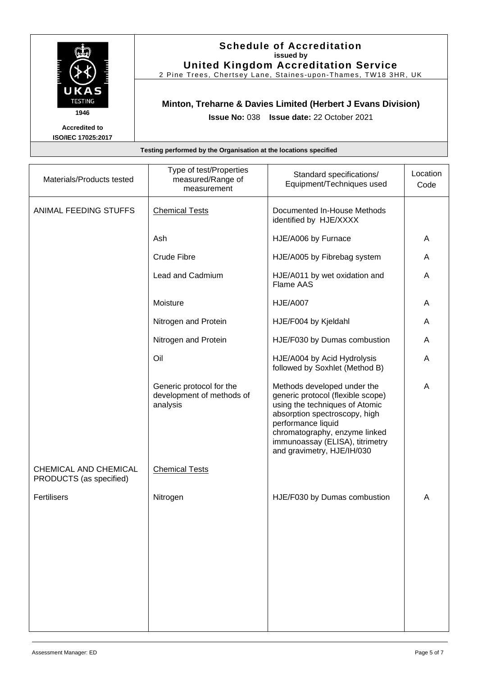

#### **Schedule of Accreditation issued by United Kingdom Accreditation Service**

2 Pine Trees, Chertsey Lane, Staines -upon -Thames, TW18 3HR, UK

## **Minton, Treharne & Davies Limited (Herbert J Evans Division)**

**Issue No:** 038 **Issue date:** 22 October 2021

| Materials/Products tested                        | Type of test/Properties<br>measured/Range of<br>measurement       | Standard specifications/<br>Equipment/Techniques used                                                                                                                                                                                                       | Location<br>Code |
|--------------------------------------------------|-------------------------------------------------------------------|-------------------------------------------------------------------------------------------------------------------------------------------------------------------------------------------------------------------------------------------------------------|------------------|
| ANIMAL FEEDING STUFFS                            | <b>Chemical Tests</b>                                             | Documented In-House Methods<br>identified by HJE/XXXX                                                                                                                                                                                                       |                  |
|                                                  | Ash                                                               | HJE/A006 by Furnace                                                                                                                                                                                                                                         | A                |
|                                                  | Crude Fibre                                                       | HJE/A005 by Fibrebag system                                                                                                                                                                                                                                 | Α                |
|                                                  | Lead and Cadmium                                                  | HJE/A011 by wet oxidation and<br>Flame AAS                                                                                                                                                                                                                  | Α                |
|                                                  | Moisture                                                          | <b>HJE/A007</b>                                                                                                                                                                                                                                             | A                |
|                                                  | Nitrogen and Protein                                              | HJE/F004 by Kjeldahl                                                                                                                                                                                                                                        | A                |
|                                                  | Nitrogen and Protein                                              | HJE/F030 by Dumas combustion                                                                                                                                                                                                                                | A                |
|                                                  | Oil                                                               | HJE/A004 by Acid Hydrolysis<br>followed by Soxhlet (Method B)                                                                                                                                                                                               | A                |
|                                                  | Generic protocol for the<br>development of methods of<br>analysis | Methods developed under the<br>generic protocol (flexible scope)<br>using the techniques of Atomic<br>absorption spectroscopy, high<br>performance liquid<br>chromatography, enzyme linked<br>immunoassay (ELISA), titrimetry<br>and gravimetry, HJE/IH/030 | A                |
| CHEMICAL AND CHEMICAL<br>PRODUCTS (as specified) | <b>Chemical Tests</b>                                             |                                                                                                                                                                                                                                                             |                  |
| Fertilisers                                      | Nitrogen                                                          | HJE/F030 by Dumas combustion                                                                                                                                                                                                                                | A                |
|                                                  |                                                                   |                                                                                                                                                                                                                                                             |                  |
|                                                  |                                                                   |                                                                                                                                                                                                                                                             |                  |
|                                                  |                                                                   |                                                                                                                                                                                                                                                             |                  |
|                                                  |                                                                   |                                                                                                                                                                                                                                                             |                  |
|                                                  |                                                                   |                                                                                                                                                                                                                                                             |                  |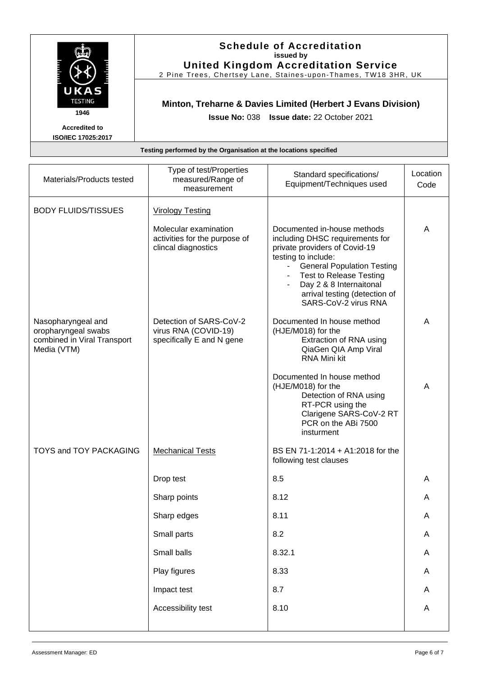

#### **Schedule of Accreditation issued by United Kingdom Accreditation Service**

2 Pine Trees, Chertsey Lane, Staines -upon -Thames, TW18 3HR, UK

# **Minton, Treharne & Davies Limited (Herbert J Evans Division)**

**Issue No:** 038 **Issue date:** 22 October 2021

| Materials/Products tested                                                               | Type of test/Properties<br>measured/Range of<br>measurement                   | Standard specifications/<br>Equipment/Techniques used                                                                                                                                                                                                                                    | Location<br>Code |
|-----------------------------------------------------------------------------------------|-------------------------------------------------------------------------------|------------------------------------------------------------------------------------------------------------------------------------------------------------------------------------------------------------------------------------------------------------------------------------------|------------------|
| <b>BODY FLUIDS/TISSUES</b>                                                              | <b>Virology Testing</b>                                                       |                                                                                                                                                                                                                                                                                          |                  |
|                                                                                         | Molecular examination<br>activities for the purpose of<br>clincal diagnostics | Documented in-house methods<br>including DHSC requirements for<br>private providers of Covid-19<br>testing to include:<br><b>General Population Testing</b><br>a i<br><b>Test to Release Testing</b><br>Day 2 & 8 Internaitonal<br>arrival testing (detection of<br>SARS-CoV-2 virus RNA | A                |
| Nasopharyngeal and<br>oropharyngeal swabs<br>combined in Viral Transport<br>Media (VTM) | Detection of SARS-CoV-2<br>virus RNA (COVID-19)<br>specifically E and N gene  | Documented In house method<br>(HJE/M018) for the<br>Extraction of RNA using<br>QiaGen QIA Amp Viral<br>RNA Mini kit                                                                                                                                                                      | A                |
|                                                                                         |                                                                               | Documented In house method<br>(HJE/M018) for the<br>Detection of RNA using<br>RT-PCR using the<br>Clarigene SARS-CoV-2 RT<br>PCR on the ABi 7500<br>insturment                                                                                                                           | A                |
| <b>TOYS and TOY PACKAGING</b>                                                           | <b>Mechanical Tests</b>                                                       | BS EN 71-1:2014 + A1:2018 for the<br>following test clauses                                                                                                                                                                                                                              |                  |
|                                                                                         | Drop test                                                                     | 8.5                                                                                                                                                                                                                                                                                      | Α                |
|                                                                                         | Sharp points                                                                  | 8.12                                                                                                                                                                                                                                                                                     | Α                |
|                                                                                         | Sharp edges                                                                   | 8.11                                                                                                                                                                                                                                                                                     | Α                |
|                                                                                         | Small parts                                                                   | 8.2                                                                                                                                                                                                                                                                                      | A                |
|                                                                                         | Small balls                                                                   | 8.32.1                                                                                                                                                                                                                                                                                   | A                |
|                                                                                         | Play figures                                                                  | 8.33                                                                                                                                                                                                                                                                                     | A                |
|                                                                                         | Impact test                                                                   | 8.7                                                                                                                                                                                                                                                                                      | A                |
|                                                                                         | Accessibility test                                                            | 8.10                                                                                                                                                                                                                                                                                     | A                |